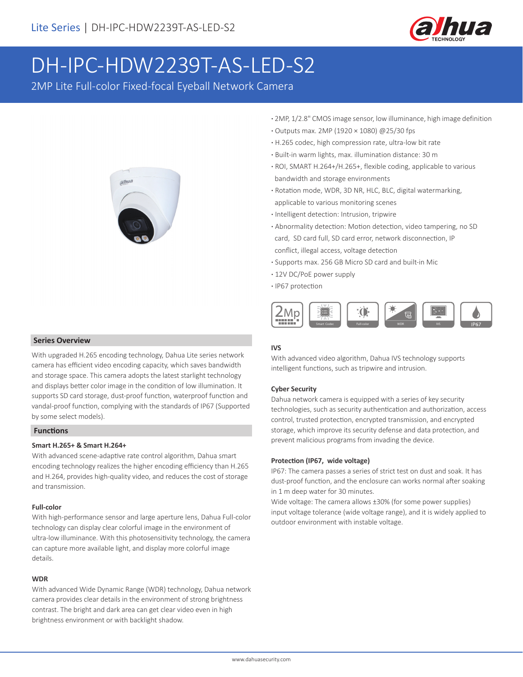

# DH-IPC-HDW2239T-AS-LED-S2

2MP Lite Full-color Fixed-focal Eyeball Network Camera



## **Series Overview**

With upgraded H.265 encoding technology, Dahua Lite series network camera has efficient video encoding capacity, which saves bandwidth and storage space. This camera adopts the latest starlight technology and displays better color image in the condition of low illumination. It supports SD card storage, dust-proof function, waterproof function and vandal-proof function, complying with the standards of IP67 (Supported by some select models).

### **Functions**

### **Smart H.265+ & Smart H.264+**

With advanced scene-adaptive rate control algorithm, Dahua smart encoding technology realizes the higher encoding efficiency than H.265 and H.264, provides high-quality video, and reduces the cost of storage and transmission.

### **Full-color**

With high-performance sensor and large aperture lens, Dahua Full-color technology can display clear colorful image in the environment of ultra-low illuminance. With this photosensitivity technology, the camera can capture more available light, and display more colorful image details.

### **WDR**

With advanced Wide Dynamic Range (WDR) technology, Dahua network camera provides clear details in the environment of strong brightness contrast. The bright and dark area can get clear video even in high brightness environment or with backlight shadow.

- **·** 2MP, 1/2.8" CMOS image sensor, low illuminance, high image definition
- **·** Outputs max. 2MP (1920 × 1080) @25/30 fps
- **·** H.265 codec, high compression rate, ultra-low bit rate
- **·** Built-in warm lights, max. illumination distance: 30 m
- **·** ROI, SMART H.264+/H.265+, flexible coding, applicable to various bandwidth and storage environments
- **·** Rotation mode, WDR, 3D NR, HLC, BLC, digital watermarking, applicable to various monitoring scenes
- **·** Intelligent detection: Intrusion, tripwire
- **·** Abnormality detection: Motion detection, video tampering, no SD card, SD card full, SD card error, network disconnection, IP conflict, illegal access, voltage detection
- **·** Supports max. 256 GB Micro SD card and built-in Mic
- **·** 12V DC/PoE power supply
- **·** IP67 protection



### **IVS**

With advanced video algorithm, Dahua IVS technology supports intelligent functions, such as tripwire and intrusion.

### **Cyber Security**

Dahua network camera is equipped with a series of key security technologies, such as security authentication and authorization, access control, trusted protection, encrypted transmission, and encrypted storage, which improve its security defense and data protection, and prevent malicious programs from invading the device.

### **Protection (IP67, wide voltage)**

IP67: The camera passes a series of strict test on dust and soak. It has dust-proof function, and the enclosure can works normal after soaking in 1 m deep water for 30 minutes.

Wide voltage: The camera allows ±30% (for some power supplies) input voltage tolerance (wide voltage range), and it is widely applied to outdoor environment with instable voltage.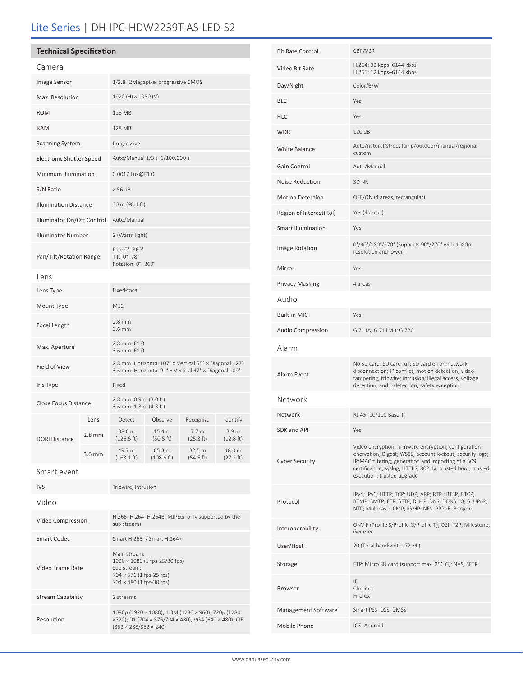# Lite Series | DH-IPC-HDW2239T-AS-LED-S2

# **Technical Specification**

Video Frame Rate

Resolution

Stream Capability 2 streams

| Camera                          |          |                                                                                                                 |                                    |                               |                               |
|---------------------------------|----------|-----------------------------------------------------------------------------------------------------------------|------------------------------------|-------------------------------|-------------------------------|
| Image Sensor                    |          |                                                                                                                 | 1/2.8" 2Megapixel progressive CMOS |                               |                               |
| Max. Resolution                 |          | 1920 (H) × 1080 (V)                                                                                             |                                    |                               |                               |
| <b>ROM</b>                      |          | 128 MB                                                                                                          |                                    |                               |                               |
| <b>RAM</b>                      |          | 128 MB                                                                                                          |                                    |                               |                               |
| <b>Scanning System</b>          |          | Progressive                                                                                                     |                                    |                               |                               |
| <b>Electronic Shutter Speed</b> |          | Auto/Manual 1/3 s-1/100,000 s                                                                                   |                                    |                               |                               |
| Minimum Illumination            |          | 0.0017 Lux@F1.0                                                                                                 |                                    |                               |                               |
| S/N Ratio                       |          | > 56 dB                                                                                                         |                                    |                               |                               |
| <b>Illumination Distance</b>    |          | 30 m (98.4 ft)                                                                                                  |                                    |                               |                               |
| Illuminator On/Off Control      |          | Auto/Manual                                                                                                     |                                    |                               |                               |
| <b>Illuminator Number</b>       |          | 2 (Warm light)                                                                                                  |                                    |                               |                               |
| Pan/Tilt/Rotation Range         |          | Pan: 0°-360°<br>Tilt: 0°-78°<br>Rotation: 0°-360°                                                               |                                    |                               |                               |
| Lens                            |          |                                                                                                                 |                                    |                               |                               |
| Lens Type                       |          | Fixed-focal                                                                                                     |                                    |                               |                               |
| Mount Type                      |          | M12                                                                                                             |                                    |                               |                               |
| Focal Length                    |          | $2.8$ mm<br>3.6 mm                                                                                              |                                    |                               |                               |
| Max. Aperture                   |          | 2.8 mm: F1.0<br>3.6 mm: F1.0                                                                                    |                                    |                               |                               |
| Field of View                   |          | 2.8 mm: Horizontal 107° x Vertical 55° x Diagonal 127°<br>3.6 mm: Horizontal 91° x Vertical 47° x Diagonal 109° |                                    |                               |                               |
| Iris Type                       |          | Fixed                                                                                                           |                                    |                               |                               |
| <b>Close Focus Distance</b>     |          | 2.8 mm: 0.9 m (3.0 ft)<br>3.6 mm: 1.3 m (4.3 ft)                                                                |                                    |                               |                               |
|                                 | Lens     | Detect                                                                                                          | Observe                            | Recognize                     | Identify                      |
| <b>DORI Distance</b>            | $2.8$ mm | 38.6 m<br>(126.6 ft)                                                                                            | 15.4 m<br>(50.5 ft)                | 7.7 <sub>m</sub><br>(25.3 ft) | 3.9 <sub>m</sub><br>(12.8 ft) |
|                                 | $3.6$ mm | 49.7 m<br>$(163.1 \text{ ft})$                                                                                  | 65.3 m<br>$(108.6 \text{ ft})$     | 32.5 m<br>(54.5 ft)           | 18.0 m<br>(27.2 ft)           |
| Smart event                     |          |                                                                                                                 |                                    |                               |                               |
| <b>IVS</b>                      |          | Tripwire; intrusion                                                                                             |                                    |                               |                               |
| Video                           |          |                                                                                                                 |                                    |                               |                               |
| Video Compression               |          | H.265; H.264; H.264B; MJPEG (only supported by the<br>sub stream)                                               |                                    |                               |                               |
| <b>Smart Codec</b>              |          | Smart H.265+/ Smart H.264+                                                                                      |                                    |                               |                               |
|                                 |          | Main stream:                                                                                                    |                                    |                               |                               |

1920 × 1080 (1 fps-25/30 fps)

(352 × 288/352 × 240)

1080p (1920 × 1080); 1.3M (1280 × 960); 720p (1280 ×720); D1 (704 × 576/704 × 480); VGA (640 × 480); CIF

Sub stream: 704 × 576 (1 fps-25 fps) 704 × 480 (1 fps-30 fps)

| <b>Bit Rate Control</b>                                                                                                                 | CBR/VBR                                                                                                                                                                                                                                                               |  |
|-----------------------------------------------------------------------------------------------------------------------------------------|-----------------------------------------------------------------------------------------------------------------------------------------------------------------------------------------------------------------------------------------------------------------------|--|
| Video Bit Rate                                                                                                                          | H.264: 32 kbps-6144 kbps<br>H.265: 12 kbps-6144 kbps                                                                                                                                                                                                                  |  |
| Day/Night                                                                                                                               | Color/B/W                                                                                                                                                                                                                                                             |  |
| BLC                                                                                                                                     | Yes                                                                                                                                                                                                                                                                   |  |
| HLC                                                                                                                                     | Yes                                                                                                                                                                                                                                                                   |  |
| WDR                                                                                                                                     | 120 dB                                                                                                                                                                                                                                                                |  |
| White Balance                                                                                                                           | Auto/natural/street lamp/outdoor/manual/regional<br>custom                                                                                                                                                                                                            |  |
| Gain Control                                                                                                                            | Auto/Manual                                                                                                                                                                                                                                                           |  |
| Noise Reduction                                                                                                                         | 3D <sub>NR</sub>                                                                                                                                                                                                                                                      |  |
| <b>Motion Detection</b>                                                                                                                 | OFF/ON (4 areas, rectangular)                                                                                                                                                                                                                                         |  |
| Region of Interest(RoI)                                                                                                                 | Yes (4 areas)                                                                                                                                                                                                                                                         |  |
| Smart Illumination                                                                                                                      | Yes                                                                                                                                                                                                                                                                   |  |
| Image Rotation                                                                                                                          | 0°/90°/180°/270° (Supports 90°/270° with 1080p<br>resolution and lower)                                                                                                                                                                                               |  |
| Mirror                                                                                                                                  | Yes                                                                                                                                                                                                                                                                   |  |
| Privacy Masking                                                                                                                         | 4 areas                                                                                                                                                                                                                                                               |  |
| Audio                                                                                                                                   |                                                                                                                                                                                                                                                                       |  |
| Built-in MIC                                                                                                                            | Yes                                                                                                                                                                                                                                                                   |  |
| Audio Compression                                                                                                                       | G.711A; G.711Mu; G.726                                                                                                                                                                                                                                                |  |
| Alarm                                                                                                                                   |                                                                                                                                                                                                                                                                       |  |
| Alarm Event                                                                                                                             | No SD card; SD card full; SD card error; network<br>disconnection; IP conflict; motion detection; video<br>tampering; tripwire; intrusion; illegal access; voltage<br>detection; audio detection; safety exception                                                    |  |
| Network                                                                                                                                 |                                                                                                                                                                                                                                                                       |  |
| Network                                                                                                                                 | RJ-45 (10/100 Base-T)                                                                                                                                                                                                                                                 |  |
|                                                                                                                                         |                                                                                                                                                                                                                                                                       |  |
|                                                                                                                                         | Yes                                                                                                                                                                                                                                                                   |  |
|                                                                                                                                         | Video encryption; firmware encryption; configuration<br>encryption; Digest; WSSE; account lockout; security logs;<br>IP/MAC filtering; generation and importing of X.509<br>certification; syslog; HTTPS; 802.1x; trusted boot; trusted<br>execution; trusted upgrade |  |
|                                                                                                                                         | IPv4; IPv6; HTTP; TCP; UDP; ARP; RTP; RTSP; RTCP;<br>RTMP; SMTP; FTP; SFTP; DHCP; DNS; DDNS; QoS; UPnP;<br>NTP; Multicast; ICMP; IGMP; NFS; PPPoE; Bonjour                                                                                                            |  |
|                                                                                                                                         | ONVIF (Profile S/Profile G/Profile T); CGI; P2P; Milestone;<br>Genetec                                                                                                                                                                                                |  |
|                                                                                                                                         | 20 (Total bandwidth: 72 M.)                                                                                                                                                                                                                                           |  |
|                                                                                                                                         | FTP; Micro SD card (support max. 256 G); NAS; SFTP                                                                                                                                                                                                                    |  |
|                                                                                                                                         | IE<br>Chrome<br>Firefox                                                                                                                                                                                                                                               |  |
|                                                                                                                                         | Smart PSS; DSS; DMSS                                                                                                                                                                                                                                                  |  |
| SDK and API<br>Cyber Security<br>Protocol<br>Interoperability<br>User/Host<br>Storage<br>Browser<br>Management Software<br>Mobile Phone | IOS; Android                                                                                                                                                                                                                                                          |  |